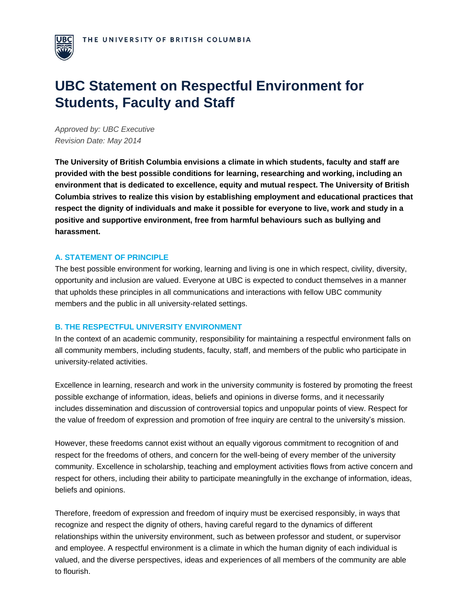

# **UBC Statement on Respectful Environment for Students, Faculty and Staff**

*Approved by: UBC Executive Revision Date: May 2014*

**The University of British Columbia envisions a climate in which students, faculty and staff are provided with the best possible conditions for learning, researching and working, including an environment that is dedicated to excellence, equity and mutual respect. The University of British Columbia strives to realize this vision by establishing employment and educational practices that respect the dignity of individuals and make it possible for everyone to live, work and study in a positive and supportive environment, free from harmful behaviours such as bullying and harassment.** 

### **A. STATEMENT OF PRINCIPLE**

The best possible environment for working, learning and living is one in which respect, civility, diversity, opportunity and inclusion are valued. Everyone at UBC is expected to conduct themselves in a manner that upholds these principles in all communications and interactions with fellow UBC community members and the public in all university-related settings.

#### **B. THE RESPECTFUL UNIVERSITY ENVIRONMENT**

In the context of an academic community, responsibility for maintaining a respectful environment falls on all community members, including students, faculty, staff, and members of the public who participate in university-related activities.

Excellence in learning, research and work in the university community is fostered by promoting the freest possible exchange of information, ideas, beliefs and opinions in diverse forms, and it necessarily includes dissemination and discussion of controversial topics and unpopular points of view. Respect for the value of freedom of expression and promotion of free inquiry are central to the university's mission.

However, these freedoms cannot exist without an equally vigorous commitment to recognition of and respect for the freedoms of others, and concern for the well-being of every member of the university community. Excellence in scholarship, teaching and employment activities flows from active concern and respect for others, including their ability to participate meaningfully in the exchange of information, ideas, beliefs and opinions.

Therefore, freedom of expression and freedom of inquiry must be exercised responsibly, in ways that recognize and respect the dignity of others, having careful regard to the dynamics of different relationships within the university environment, such as between professor and student, or supervisor and employee. A respectful environment is a climate in which the human dignity of each individual is valued, and the diverse perspectives, ideas and experiences of all members of the community are able to flourish.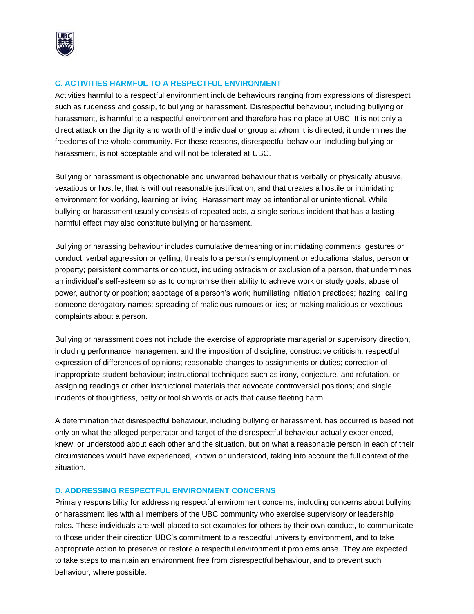

# **C. ACTIVITIES HARMFUL TO A RESPECTFUL ENVIRONMENT**

Activities harmful to a respectful environment include behaviours ranging from expressions of disrespect such as rudeness and gossip, to bullying or harassment. Disrespectful behaviour, including bullying or harassment, is harmful to a respectful environment and therefore has no place at UBC. It is not only a direct attack on the dignity and worth of the individual or group at whom it is directed, it undermines the freedoms of the whole community. For these reasons, disrespectful behaviour, including bullying or harassment, is not acceptable and will not be tolerated at UBC.

Bullying or harassment is objectionable and unwanted behaviour that is verbally or physically abusive, vexatious or hostile, that is without reasonable justification, and that creates a hostile or intimidating environment for working, learning or living. Harassment may be intentional or unintentional. While bullying or harassment usually consists of repeated acts, a single serious incident that has a lasting harmful effect may also constitute bullying or harassment.

Bullying or harassing behaviour includes cumulative demeaning or intimidating comments, gestures or conduct; verbal aggression or yelling; threats to a person's employment or educational status, person or property; persistent comments or conduct, including ostracism or exclusion of a person, that undermines an individual's self-esteem so as to compromise their ability to achieve work or study goals; abuse of power, authority or position; sabotage of a person's work; humiliating initiation practices; hazing; calling someone derogatory names; spreading of malicious rumours or lies; or making malicious or vexatious complaints about a person.

Bullying or harassment does not include the exercise of appropriate managerial or supervisory direction, including performance management and the imposition of discipline; constructive criticism; respectful expression of differences of opinions; reasonable changes to assignments or duties; correction of inappropriate student behaviour; instructional techniques such as irony, conjecture, and refutation, or assigning readings or other instructional materials that advocate controversial positions; and single incidents of thoughtless, petty or foolish words or acts that cause fleeting harm.

A determination that disrespectful behaviour, including bullying or harassment, has occurred is based not only on what the alleged perpetrator and target of the disrespectful behaviour actually experienced, knew, or understood about each other and the situation, but on what a reasonable person in each of their circumstances would have experienced, known or understood, taking into account the full context of the situation.

#### **D. ADDRESSING RESPECTFUL ENVIRONMENT CONCERNS**

Primary responsibility for addressing respectful environment concerns, including concerns about bullying or harassment lies with all members of the UBC community who exercise supervisory or leadership roles. These individuals are well-placed to set examples for others by their own conduct, to communicate to those under their direction UBC's commitment to a respectful university environment, and to take appropriate action to preserve or restore a respectful environment if problems arise. They are expected to take steps to maintain an environment free from disrespectful behaviour, and to prevent such behaviour, where possible.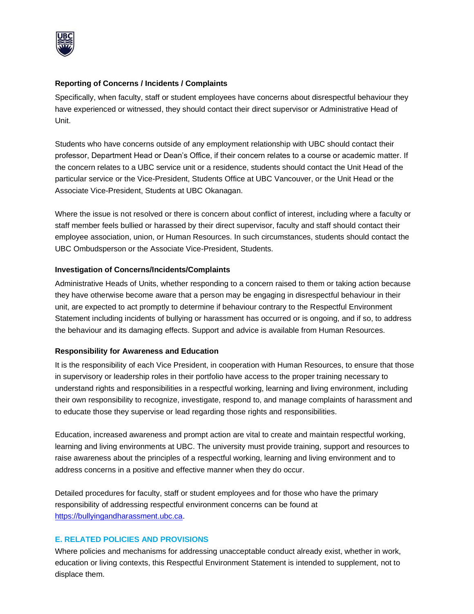

## **Reporting of Concerns / Incidents / Complaints**

Specifically, when faculty, staff or student employees have concerns about disrespectful behaviour they have experienced or witnessed, they should contact their direct supervisor or Administrative Head of Unit.

Students who have concerns outside of any employment relationship with UBC should contact their professor, Department Head or Dean's Office, if their concern relates to a course or academic matter. If the concern relates to a UBC service unit or a residence, students should contact the Unit Head of the particular service or the Vice-President, Students Office at UBC Vancouver, or the Unit Head or the Associate Vice-President, Students at UBC Okanagan.

Where the issue is not resolved or there is concern about conflict of interest, including where a faculty or staff member feels bullied or harassed by their direct supervisor, faculty and staff should contact their employee association, union, or Human Resources. In such circumstances, students should contact the UBC Ombudsperson or the Associate Vice-President, Students.

### **Investigation of Concerns/Incidents/Complaints**

Administrative Heads of Units, whether responding to a concern raised to them or taking action because they have otherwise become aware that a person may be engaging in disrespectful behaviour in their unit, are expected to act promptly to determine if behaviour contrary to the Respectful Environment Statement including incidents of bullying or harassment has occurred or is ongoing, and if so, to address the behaviour and its damaging effects. Support and advice is available from Human Resources.

# **Responsibility for Awareness and Education**

It is the responsibility of each Vice President, in cooperation with Human Resources, to ensure that those in supervisory or leadership roles in their portfolio have access to the proper training necessary to understand rights and responsibilities in a respectful working, learning and living environment, including their own responsibility to recognize, investigate, respond to, and manage complaints of harassment and to educate those they supervise or lead regarding those rights and responsibilities.

Education, increased awareness and prompt action are vital to create and maintain respectful working, learning and living environments at UBC. The university must provide training, support and resources to raise awareness about the principles of a respectful working, learning and living environment and to address concerns in a positive and effective manner when they do occur.

Detailed procedures for faculty, staff or student employees and for those who have the primary responsibility of addressing respectful environment concerns can be found at [https://bullyingandharassment.ubc.ca.](https://bullyingandharassment.ubc.ca/)

# **E. RELATED POLICIES AND PROVISIONS**

Where policies and mechanisms for addressing unacceptable conduct already exist, whether in work, education or living contexts, this Respectful Environment Statement is intended to supplement, not to displace them.